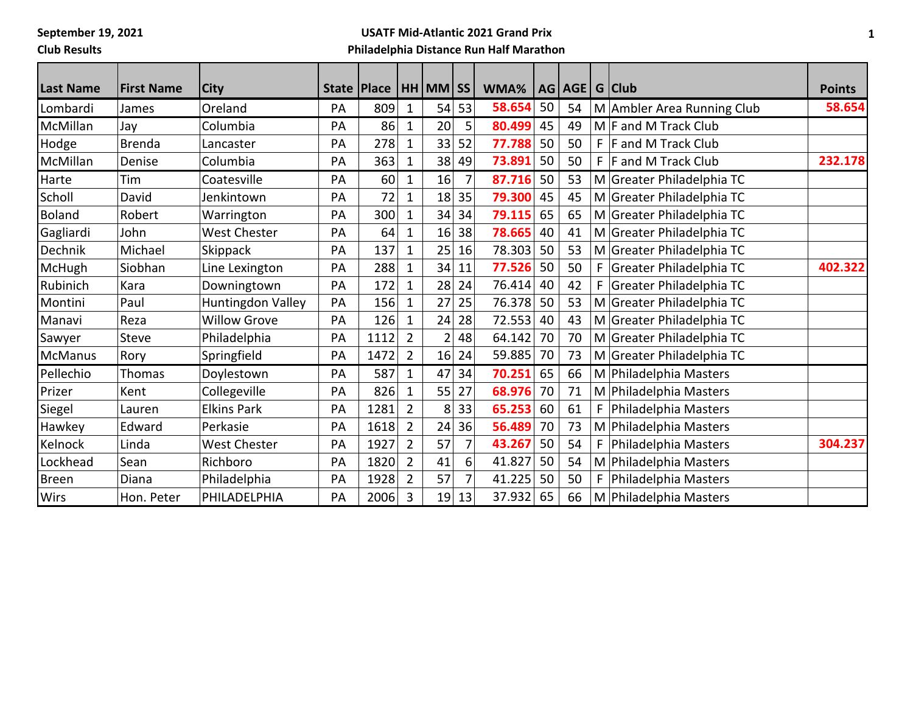**September 19, 2021**

**Club Results**

## **USATF Mid-Atlantic 2021 Grand Prix Philadelphia Distance Run Half Marathon**

| <b>Last Name</b> | <b>First Name</b> | <b>City</b>         |    | State   Place |                | HH MM SS       |                | WMA%   |    | AG AGE |    | G Club                     | <b>Points</b> |
|------------------|-------------------|---------------------|----|---------------|----------------|----------------|----------------|--------|----|--------|----|----------------------------|---------------|
| Lombardi         | James             | Oreland             | PA | 809           | $\mathbf 1$    | 54             | 53             | 58.654 | 50 | 54     |    | M Ambler Area Running Club | 58.654        |
| McMillan         | Jay               | Columbia            | PA | 86            | $\mathbf{1}$   | 20             | 5              | 80.499 | 45 | 49     |    | $M$ F and M Track Club     |               |
| Hodge            | <b>Brenda</b>     | Lancaster           | PA | 278           | $\mathbf 1$    | 33             | 52             | 77.788 | 50 | 50     | F. | F and M Track Club         |               |
| McMillan         | Denise            | Columbia            | PA | 363           | 1              | 38             | 49             | 73.891 | 50 | 50     |    | $F$  F and M Track Club    | 232.178       |
| Harte            | Tim               | Coatesville         | PA | 60            | $\mathbf 1$    | 16             | 7              | 87.716 | 50 | 53     |    | M Greater Philadelphia TC  |               |
| Scholl           | David             | Jenkintown          | PA | 72            | 1              | 18             | 35             | 79.300 | 45 | 45     |    | M Greater Philadelphia TC  |               |
| <b>Boland</b>    | Robert            | Warrington          | PA | 300           | $\mathbf{1}$   | 34             | 34             | 79.115 | 65 | 65     |    | M Greater Philadelphia TC  |               |
| Gagliardi        | John              | West Chester        | PA | 64            | 1              | 16             | 38             | 78.665 | 40 | 41     |    | M Greater Philadelphia TC  |               |
| Dechnik          | Michael           | Skippack            | PA | 137           | $\mathbf 1$    | 25             | 16             | 78.303 | 50 | 53     |    | M Greater Philadelphia TC  |               |
| McHugh           | Siobhan           | Line Lexington      | PA | 288           | $\mathbf 1$    | 34             | 11             | 77.526 | 50 | 50     |    | F Greater Philadelphia TC  | 402.322       |
| Rubinich         | Kara              | Downingtown         | PA | 172           | $\mathbf 1$    | 28             | 24             | 76.414 | 40 | 42     | F. | Greater Philadelphia TC    |               |
| Montini          | Paul              | Huntingdon Valley   | PA | 156           | 1              | 27             | 25             | 76.378 | 50 | 53     |    | M Greater Philadelphia TC  |               |
| Manavi           | Reza              | <b>Willow Grove</b> | PA | 126           | $\mathbf{1}$   | 24             | 28             | 72.553 | 40 | 43     |    | M Greater Philadelphia TC  |               |
| Sawyer           | Steve             | Philadelphia        | PA | 1112          | $\overline{2}$ | $\overline{2}$ | 48             | 64.142 | 70 | 70     |    | M Greater Philadelphia TC  |               |
| <b>McManus</b>   | Rory              | Springfield         | PA | 1472          | $\overline{2}$ | 16             | 24             | 59.885 | 70 | 73     |    | M Greater Philadelphia TC  |               |
| Pellechio        | Thomas            | Doylestown          | PA | 587           | $\mathbf{1}$   | 47             | 34             | 70.251 | 65 | 66     |    | M Philadelphia Masters     |               |
| Prizer           | Kent              | Collegeville        | PA | 826           | $\mathbf{1}$   | 55             | 27             | 68.976 | 70 | 71     |    | M Philadelphia Masters     |               |
| Siegel           | Lauren            | <b>Elkins Park</b>  | PA | 1281          | $\overline{2}$ | 8              | 33             | 65.253 | 60 | 61     | F. | Philadelphia Masters       |               |
| Hawkey           | Edward            | Perkasie            | PA | 1618          | $\overline{2}$ | 24             | 36             | 56.489 | 70 | 73     |    | M Philadelphia Masters     |               |
| Kelnock          | Linda             | West Chester        | PA | 1927          | $\overline{2}$ | 57             | 7              | 43.267 | 50 | 54     | F. | Philadelphia Masters       | 304.237       |
| Lockhead         | Sean              | Richboro            | PA | 1820          | $\overline{2}$ | 41             | 6              | 41.827 | 50 | 54     |    | M Philadelphia Masters     |               |
| <b>Breen</b>     | Diana             | Philadelphia        | PA | 1928          | $\overline{2}$ | 57             | $\overline{7}$ | 41.225 | 50 | 50     | F. | Philadelphia Masters       |               |
| <b>Wirs</b>      | Hon. Peter        | PHILADELPHIA        | PA | 2006          | $\overline{3}$ | 19             | 13             | 37.932 | 65 | 66     |    | M Philadelphia Masters     |               |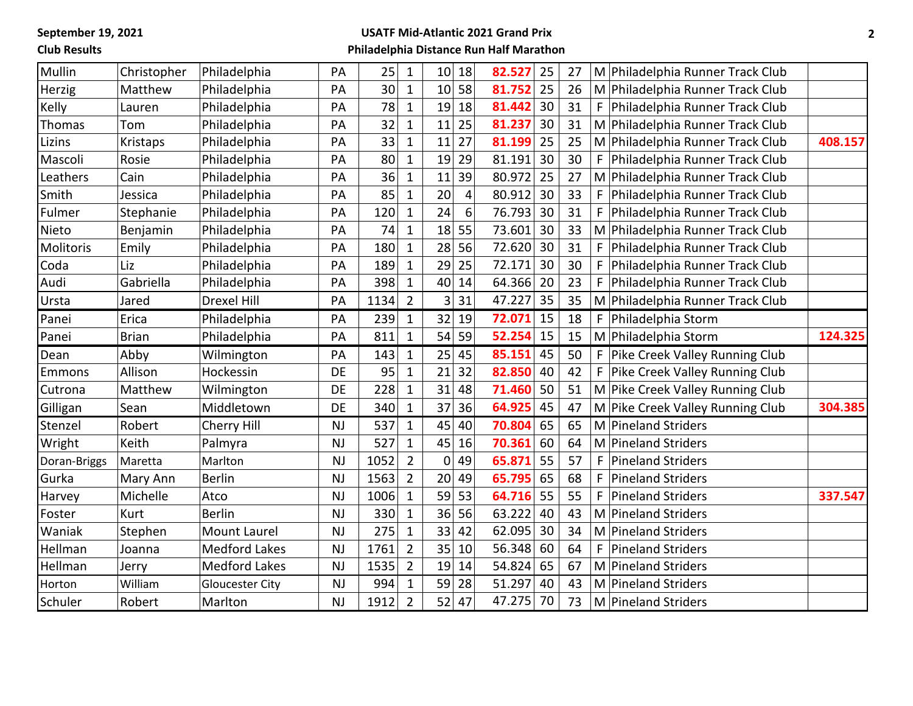**September 19, 2021**

**Club Results**

## **USATF Mid-Atlantic 2021 Grand Prix Philadelphia Distance Run Half Marathon**

| Mullin<br>18<br>82.527<br>25<br>Philadelphia<br>PA<br>25<br>$\mathbf{1}$<br>10<br>27<br>M Philadelphia Runner Track Club<br>Christopher<br>25<br>30<br>58<br>81.752<br>Philadelphia<br>$\mathbf{1}$<br>10<br>26<br>Matthew<br>PA<br>M Philadelphia Runner Track Club<br>Herzig<br>78<br>30<br>Kelly<br>PA<br>$\mathbf{1}$<br>19<br>18<br>81.442<br>31<br>F.<br>Philadelphia<br>Philadelphia Runner Track Club<br>Lauren<br>81.237<br>30<br>32<br>25<br>Philadelphia<br>PA<br>11<br>31<br>$1\,$<br>M Philadelphia Runner Track Club<br>Thomas<br>Tom<br>33<br>27<br>81.199<br>25<br>Philadelphia<br>PA<br>11<br>25<br>$\mathbf 1$<br>M   Philadelphia Runner Track Club<br>Lizins<br>Kristaps<br>80<br>29<br>30<br>19<br>81.191<br>30<br>Mascoli<br>Philadelphia<br>PA<br>$\mathbf{1}$<br>F<br>Philadelphia Runner Track Club<br>Rosie<br>80.972<br>25<br>36<br>39<br>27<br>Philadelphia<br>11<br>Leathers<br>Cain<br>PA<br>$\mathbf{1}$<br>M Philadelphia Runner Track Club<br>85<br>20<br>80.912<br>30<br>33<br>Smith<br>Philadelphia<br>PA<br>F<br>Philadelphia Runner Track Club<br>Jessica<br>$\mathbf{1}$<br>4<br>24<br>6<br>76.793<br>30<br>31<br>120<br>F.<br>Stephanie<br>Philadelphia<br>PA<br>$\mathbf{1}$<br>Philadelphia Runner Track Club<br>Fulmer<br>74<br>18<br>55<br>73.601<br>33<br>Philadelphia<br>30<br>Nieto<br>Benjamin<br>PA<br>$\mathbf 1$<br>M   Philadelphia Runner Track Club<br>180<br>28<br>56<br>72.620<br>30<br>31<br>Molitoris<br>Philadelphia<br>PA<br>$\mathbf{1}$<br>F   Philadelphia Runner Track Club<br>Emily<br>72.171<br>29<br>25<br>30<br>Philadelphia<br>189<br>30<br>Philadelphia Runner Track Club<br>Coda<br>Liz<br>PA<br>$\mathbf{1}$<br>F.<br>Gabriella<br>398<br>40<br>64.366<br>14<br>20<br>23<br>Audi<br>Philadelphia<br>PA<br>$\mathbf{1}$<br>F.<br>Philadelphia Runner Track Club<br>47.227<br>35<br>31<br><b>Drexel Hill</b><br>1134<br>$\overline{2}$<br>3<br>35<br>PA<br>M Philadelphia Runner Track Club<br>Ursta<br>Jared<br>15<br>72.071<br>239<br>$\mathbf{1}$<br>32<br>19<br>18<br>F   Philadelphia Storm<br>Panei<br>Erica<br>Philadelphia<br>PA<br>52.254<br>15<br>54<br>59<br>15<br>811<br>M Philadelphia Storm<br><b>Brian</b><br>Philadelphia<br>$\mathbf{1}$<br>Panei<br>PA<br>25<br>143<br>45<br>85.151<br>45<br>50<br>F Pike Creek Valley Running Club<br>Abby<br>Wilmington<br>PA<br>$\mathbf{1}$<br>Dean<br>95<br>82.850<br>40<br>Allison<br>Hockessin<br>DE<br>21<br>32<br>42<br>F Pike Creek Valley Running Club<br>$\mathbf{1}$<br>Emmons<br>228<br>31<br>48<br>71.460<br>50<br>51<br>Matthew<br>Wilmington<br>DE<br>M Pike Creek Valley Running Club<br>Cutrona<br>$\mathbf 1$<br>37 36<br>64.925<br>45<br>47<br>DE<br>340<br>$\mathbf{1}$<br>Sean<br>Middletown<br>M Pike Creek Valley Running Club<br>Gilligan<br>537<br>45<br>40<br>70.804<br>65<br>65<br>M Pineland Striders<br>Stenzel<br>Robert<br>Cherry Hill<br>$\mathbf{1}$<br><b>NJ</b><br>527<br>70.361<br>45<br>60<br>64<br>Wright<br>Keith<br>NJ<br>$\mathbf{1}$<br>16<br>M Pineland Striders<br>Palmyra<br>$\overline{2}$<br>49<br>55<br>57<br>1052<br>0<br>65.871<br>F<br><b>NJ</b><br>Marlton<br><b>Pineland Striders</b><br>Doran-Briggs<br>Maretta<br>49<br>65.795<br>65<br>1563<br>$\overline{2}$<br>20<br>68<br>Gurka<br><b>Berlin</b><br>NJ<br>F.<br><b>Pineland Striders</b><br>Mary Ann<br>59<br>53<br>64.716<br>55<br>55<br>Michelle<br>1006<br>$\mathbf{1}$<br>F<br>Atco<br><b>NJ</b><br><b>Pineland Striders</b><br>Harvey<br>63.222<br>40<br>330<br>36<br>56<br>43<br><b>Berlin</b><br>$\mathbf{1}$<br>M Pineland Striders<br>Foster<br>Kurt<br>NJ<br>33<br>Waniak<br>275<br>42<br>62.095<br>30<br>34<br>M Pineland Striders<br>Stephen<br><b>Mount Laurel</b><br>NJ<br>$\mathbf{1}$<br>$\overline{2}$<br>35<br>56.348<br>1761<br>10<br>60<br>64<br>Hellman<br><b>Medford Lakes</b><br><b>NJ</b><br>F<br>Pineland Striders<br>Joanna<br>$\overline{2}$<br>54.824<br>65<br>14<br>67<br><b>Medford Lakes</b><br>NJ<br>1535<br>19<br>M Pineland Striders<br>Hellman<br>Jerry<br>51.297<br>994<br>59<br>28<br>43<br><b>NJ</b><br>$\mathbf{1}$<br>40<br>M Pineland Striders<br>William<br>Horton<br><b>Gloucester City</b><br>$\overline{2}$<br>47<br>47.275<br>1912<br>52<br>70<br>73<br>Schuler<br>NJ<br>M Pineland Striders<br>Robert<br>Marlton |  |  |  |  |  |  |         |
|-----------------------------------------------------------------------------------------------------------------------------------------------------------------------------------------------------------------------------------------------------------------------------------------------------------------------------------------------------------------------------------------------------------------------------------------------------------------------------------------------------------------------------------------------------------------------------------------------------------------------------------------------------------------------------------------------------------------------------------------------------------------------------------------------------------------------------------------------------------------------------------------------------------------------------------------------------------------------------------------------------------------------------------------------------------------------------------------------------------------------------------------------------------------------------------------------------------------------------------------------------------------------------------------------------------------------------------------------------------------------------------------------------------------------------------------------------------------------------------------------------------------------------------------------------------------------------------------------------------------------------------------------------------------------------------------------------------------------------------------------------------------------------------------------------------------------------------------------------------------------------------------------------------------------------------------------------------------------------------------------------------------------------------------------------------------------------------------------------------------------------------------------------------------------------------------------------------------------------------------------------------------------------------------------------------------------------------------------------------------------------------------------------------------------------------------------------------------------------------------------------------------------------------------------------------------------------------------------------------------------------------------------------------------------------------------------------------------------------------------------------------------------------------------------------------------------------------------------------------------------------------------------------------------------------------------------------------------------------------------------------------------------------------------------------------------------------------------------------------------------------------------------------------------------------------------------------------------------------------------------------------------------------------------------------------------------------------------------------------------------------------------------------------------------------------------------------------------------------------------------------------------------------------------------------------------------------------------------------------------------------------------------------------------------------------------------------------------------------------------------------------------------------------------------------------------------------------------------------------------------------------------------------------------------------------------------------------------------------------------------------------------------------------------------------------------------------------------------------------------------------------------------------------------------------------------------------------------------------------------------------------------------------------------------------|--|--|--|--|--|--|---------|
|                                                                                                                                                                                                                                                                                                                                                                                                                                                                                                                                                                                                                                                                                                                                                                                                                                                                                                                                                                                                                                                                                                                                                                                                                                                                                                                                                                                                                                                                                                                                                                                                                                                                                                                                                                                                                                                                                                                                                                                                                                                                                                                                                                                                                                                                                                                                                                                                                                                                                                                                                                                                                                                                                                                                                                                                                                                                                                                                                                                                                                                                                                                                                                                                                                                                                                                                                                                                                                                                                                                                                                                                                                                                                                                                                                                                                                                                                                                                                                                                                                                                                                                                                                                                                                                                                                     |  |  |  |  |  |  |         |
|                                                                                                                                                                                                                                                                                                                                                                                                                                                                                                                                                                                                                                                                                                                                                                                                                                                                                                                                                                                                                                                                                                                                                                                                                                                                                                                                                                                                                                                                                                                                                                                                                                                                                                                                                                                                                                                                                                                                                                                                                                                                                                                                                                                                                                                                                                                                                                                                                                                                                                                                                                                                                                                                                                                                                                                                                                                                                                                                                                                                                                                                                                                                                                                                                                                                                                                                                                                                                                                                                                                                                                                                                                                                                                                                                                                                                                                                                                                                                                                                                                                                                                                                                                                                                                                                                                     |  |  |  |  |  |  |         |
|                                                                                                                                                                                                                                                                                                                                                                                                                                                                                                                                                                                                                                                                                                                                                                                                                                                                                                                                                                                                                                                                                                                                                                                                                                                                                                                                                                                                                                                                                                                                                                                                                                                                                                                                                                                                                                                                                                                                                                                                                                                                                                                                                                                                                                                                                                                                                                                                                                                                                                                                                                                                                                                                                                                                                                                                                                                                                                                                                                                                                                                                                                                                                                                                                                                                                                                                                                                                                                                                                                                                                                                                                                                                                                                                                                                                                                                                                                                                                                                                                                                                                                                                                                                                                                                                                                     |  |  |  |  |  |  |         |
|                                                                                                                                                                                                                                                                                                                                                                                                                                                                                                                                                                                                                                                                                                                                                                                                                                                                                                                                                                                                                                                                                                                                                                                                                                                                                                                                                                                                                                                                                                                                                                                                                                                                                                                                                                                                                                                                                                                                                                                                                                                                                                                                                                                                                                                                                                                                                                                                                                                                                                                                                                                                                                                                                                                                                                                                                                                                                                                                                                                                                                                                                                                                                                                                                                                                                                                                                                                                                                                                                                                                                                                                                                                                                                                                                                                                                                                                                                                                                                                                                                                                                                                                                                                                                                                                                                     |  |  |  |  |  |  |         |
|                                                                                                                                                                                                                                                                                                                                                                                                                                                                                                                                                                                                                                                                                                                                                                                                                                                                                                                                                                                                                                                                                                                                                                                                                                                                                                                                                                                                                                                                                                                                                                                                                                                                                                                                                                                                                                                                                                                                                                                                                                                                                                                                                                                                                                                                                                                                                                                                                                                                                                                                                                                                                                                                                                                                                                                                                                                                                                                                                                                                                                                                                                                                                                                                                                                                                                                                                                                                                                                                                                                                                                                                                                                                                                                                                                                                                                                                                                                                                                                                                                                                                                                                                                                                                                                                                                     |  |  |  |  |  |  | 408.157 |
|                                                                                                                                                                                                                                                                                                                                                                                                                                                                                                                                                                                                                                                                                                                                                                                                                                                                                                                                                                                                                                                                                                                                                                                                                                                                                                                                                                                                                                                                                                                                                                                                                                                                                                                                                                                                                                                                                                                                                                                                                                                                                                                                                                                                                                                                                                                                                                                                                                                                                                                                                                                                                                                                                                                                                                                                                                                                                                                                                                                                                                                                                                                                                                                                                                                                                                                                                                                                                                                                                                                                                                                                                                                                                                                                                                                                                                                                                                                                                                                                                                                                                                                                                                                                                                                                                                     |  |  |  |  |  |  |         |
|                                                                                                                                                                                                                                                                                                                                                                                                                                                                                                                                                                                                                                                                                                                                                                                                                                                                                                                                                                                                                                                                                                                                                                                                                                                                                                                                                                                                                                                                                                                                                                                                                                                                                                                                                                                                                                                                                                                                                                                                                                                                                                                                                                                                                                                                                                                                                                                                                                                                                                                                                                                                                                                                                                                                                                                                                                                                                                                                                                                                                                                                                                                                                                                                                                                                                                                                                                                                                                                                                                                                                                                                                                                                                                                                                                                                                                                                                                                                                                                                                                                                                                                                                                                                                                                                                                     |  |  |  |  |  |  |         |
|                                                                                                                                                                                                                                                                                                                                                                                                                                                                                                                                                                                                                                                                                                                                                                                                                                                                                                                                                                                                                                                                                                                                                                                                                                                                                                                                                                                                                                                                                                                                                                                                                                                                                                                                                                                                                                                                                                                                                                                                                                                                                                                                                                                                                                                                                                                                                                                                                                                                                                                                                                                                                                                                                                                                                                                                                                                                                                                                                                                                                                                                                                                                                                                                                                                                                                                                                                                                                                                                                                                                                                                                                                                                                                                                                                                                                                                                                                                                                                                                                                                                                                                                                                                                                                                                                                     |  |  |  |  |  |  |         |
|                                                                                                                                                                                                                                                                                                                                                                                                                                                                                                                                                                                                                                                                                                                                                                                                                                                                                                                                                                                                                                                                                                                                                                                                                                                                                                                                                                                                                                                                                                                                                                                                                                                                                                                                                                                                                                                                                                                                                                                                                                                                                                                                                                                                                                                                                                                                                                                                                                                                                                                                                                                                                                                                                                                                                                                                                                                                                                                                                                                                                                                                                                                                                                                                                                                                                                                                                                                                                                                                                                                                                                                                                                                                                                                                                                                                                                                                                                                                                                                                                                                                                                                                                                                                                                                                                                     |  |  |  |  |  |  |         |
|                                                                                                                                                                                                                                                                                                                                                                                                                                                                                                                                                                                                                                                                                                                                                                                                                                                                                                                                                                                                                                                                                                                                                                                                                                                                                                                                                                                                                                                                                                                                                                                                                                                                                                                                                                                                                                                                                                                                                                                                                                                                                                                                                                                                                                                                                                                                                                                                                                                                                                                                                                                                                                                                                                                                                                                                                                                                                                                                                                                                                                                                                                                                                                                                                                                                                                                                                                                                                                                                                                                                                                                                                                                                                                                                                                                                                                                                                                                                                                                                                                                                                                                                                                                                                                                                                                     |  |  |  |  |  |  |         |
|                                                                                                                                                                                                                                                                                                                                                                                                                                                                                                                                                                                                                                                                                                                                                                                                                                                                                                                                                                                                                                                                                                                                                                                                                                                                                                                                                                                                                                                                                                                                                                                                                                                                                                                                                                                                                                                                                                                                                                                                                                                                                                                                                                                                                                                                                                                                                                                                                                                                                                                                                                                                                                                                                                                                                                                                                                                                                                                                                                                                                                                                                                                                                                                                                                                                                                                                                                                                                                                                                                                                                                                                                                                                                                                                                                                                                                                                                                                                                                                                                                                                                                                                                                                                                                                                                                     |  |  |  |  |  |  |         |
|                                                                                                                                                                                                                                                                                                                                                                                                                                                                                                                                                                                                                                                                                                                                                                                                                                                                                                                                                                                                                                                                                                                                                                                                                                                                                                                                                                                                                                                                                                                                                                                                                                                                                                                                                                                                                                                                                                                                                                                                                                                                                                                                                                                                                                                                                                                                                                                                                                                                                                                                                                                                                                                                                                                                                                                                                                                                                                                                                                                                                                                                                                                                                                                                                                                                                                                                                                                                                                                                                                                                                                                                                                                                                                                                                                                                                                                                                                                                                                                                                                                                                                                                                                                                                                                                                                     |  |  |  |  |  |  |         |
|                                                                                                                                                                                                                                                                                                                                                                                                                                                                                                                                                                                                                                                                                                                                                                                                                                                                                                                                                                                                                                                                                                                                                                                                                                                                                                                                                                                                                                                                                                                                                                                                                                                                                                                                                                                                                                                                                                                                                                                                                                                                                                                                                                                                                                                                                                                                                                                                                                                                                                                                                                                                                                                                                                                                                                                                                                                                                                                                                                                                                                                                                                                                                                                                                                                                                                                                                                                                                                                                                                                                                                                                                                                                                                                                                                                                                                                                                                                                                                                                                                                                                                                                                                                                                                                                                                     |  |  |  |  |  |  |         |
|                                                                                                                                                                                                                                                                                                                                                                                                                                                                                                                                                                                                                                                                                                                                                                                                                                                                                                                                                                                                                                                                                                                                                                                                                                                                                                                                                                                                                                                                                                                                                                                                                                                                                                                                                                                                                                                                                                                                                                                                                                                                                                                                                                                                                                                                                                                                                                                                                                                                                                                                                                                                                                                                                                                                                                                                                                                                                                                                                                                                                                                                                                                                                                                                                                                                                                                                                                                                                                                                                                                                                                                                                                                                                                                                                                                                                                                                                                                                                                                                                                                                                                                                                                                                                                                                                                     |  |  |  |  |  |  |         |
|                                                                                                                                                                                                                                                                                                                                                                                                                                                                                                                                                                                                                                                                                                                                                                                                                                                                                                                                                                                                                                                                                                                                                                                                                                                                                                                                                                                                                                                                                                                                                                                                                                                                                                                                                                                                                                                                                                                                                                                                                                                                                                                                                                                                                                                                                                                                                                                                                                                                                                                                                                                                                                                                                                                                                                                                                                                                                                                                                                                                                                                                                                                                                                                                                                                                                                                                                                                                                                                                                                                                                                                                                                                                                                                                                                                                                                                                                                                                                                                                                                                                                                                                                                                                                                                                                                     |  |  |  |  |  |  |         |
|                                                                                                                                                                                                                                                                                                                                                                                                                                                                                                                                                                                                                                                                                                                                                                                                                                                                                                                                                                                                                                                                                                                                                                                                                                                                                                                                                                                                                                                                                                                                                                                                                                                                                                                                                                                                                                                                                                                                                                                                                                                                                                                                                                                                                                                                                                                                                                                                                                                                                                                                                                                                                                                                                                                                                                                                                                                                                                                                                                                                                                                                                                                                                                                                                                                                                                                                                                                                                                                                                                                                                                                                                                                                                                                                                                                                                                                                                                                                                                                                                                                                                                                                                                                                                                                                                                     |  |  |  |  |  |  | 124.325 |
|                                                                                                                                                                                                                                                                                                                                                                                                                                                                                                                                                                                                                                                                                                                                                                                                                                                                                                                                                                                                                                                                                                                                                                                                                                                                                                                                                                                                                                                                                                                                                                                                                                                                                                                                                                                                                                                                                                                                                                                                                                                                                                                                                                                                                                                                                                                                                                                                                                                                                                                                                                                                                                                                                                                                                                                                                                                                                                                                                                                                                                                                                                                                                                                                                                                                                                                                                                                                                                                                                                                                                                                                                                                                                                                                                                                                                                                                                                                                                                                                                                                                                                                                                                                                                                                                                                     |  |  |  |  |  |  |         |
|                                                                                                                                                                                                                                                                                                                                                                                                                                                                                                                                                                                                                                                                                                                                                                                                                                                                                                                                                                                                                                                                                                                                                                                                                                                                                                                                                                                                                                                                                                                                                                                                                                                                                                                                                                                                                                                                                                                                                                                                                                                                                                                                                                                                                                                                                                                                                                                                                                                                                                                                                                                                                                                                                                                                                                                                                                                                                                                                                                                                                                                                                                                                                                                                                                                                                                                                                                                                                                                                                                                                                                                                                                                                                                                                                                                                                                                                                                                                                                                                                                                                                                                                                                                                                                                                                                     |  |  |  |  |  |  |         |
|                                                                                                                                                                                                                                                                                                                                                                                                                                                                                                                                                                                                                                                                                                                                                                                                                                                                                                                                                                                                                                                                                                                                                                                                                                                                                                                                                                                                                                                                                                                                                                                                                                                                                                                                                                                                                                                                                                                                                                                                                                                                                                                                                                                                                                                                                                                                                                                                                                                                                                                                                                                                                                                                                                                                                                                                                                                                                                                                                                                                                                                                                                                                                                                                                                                                                                                                                                                                                                                                                                                                                                                                                                                                                                                                                                                                                                                                                                                                                                                                                                                                                                                                                                                                                                                                                                     |  |  |  |  |  |  |         |
|                                                                                                                                                                                                                                                                                                                                                                                                                                                                                                                                                                                                                                                                                                                                                                                                                                                                                                                                                                                                                                                                                                                                                                                                                                                                                                                                                                                                                                                                                                                                                                                                                                                                                                                                                                                                                                                                                                                                                                                                                                                                                                                                                                                                                                                                                                                                                                                                                                                                                                                                                                                                                                                                                                                                                                                                                                                                                                                                                                                                                                                                                                                                                                                                                                                                                                                                                                                                                                                                                                                                                                                                                                                                                                                                                                                                                                                                                                                                                                                                                                                                                                                                                                                                                                                                                                     |  |  |  |  |  |  | 304.385 |
|                                                                                                                                                                                                                                                                                                                                                                                                                                                                                                                                                                                                                                                                                                                                                                                                                                                                                                                                                                                                                                                                                                                                                                                                                                                                                                                                                                                                                                                                                                                                                                                                                                                                                                                                                                                                                                                                                                                                                                                                                                                                                                                                                                                                                                                                                                                                                                                                                                                                                                                                                                                                                                                                                                                                                                                                                                                                                                                                                                                                                                                                                                                                                                                                                                                                                                                                                                                                                                                                                                                                                                                                                                                                                                                                                                                                                                                                                                                                                                                                                                                                                                                                                                                                                                                                                                     |  |  |  |  |  |  |         |
|                                                                                                                                                                                                                                                                                                                                                                                                                                                                                                                                                                                                                                                                                                                                                                                                                                                                                                                                                                                                                                                                                                                                                                                                                                                                                                                                                                                                                                                                                                                                                                                                                                                                                                                                                                                                                                                                                                                                                                                                                                                                                                                                                                                                                                                                                                                                                                                                                                                                                                                                                                                                                                                                                                                                                                                                                                                                                                                                                                                                                                                                                                                                                                                                                                                                                                                                                                                                                                                                                                                                                                                                                                                                                                                                                                                                                                                                                                                                                                                                                                                                                                                                                                                                                                                                                                     |  |  |  |  |  |  |         |
|                                                                                                                                                                                                                                                                                                                                                                                                                                                                                                                                                                                                                                                                                                                                                                                                                                                                                                                                                                                                                                                                                                                                                                                                                                                                                                                                                                                                                                                                                                                                                                                                                                                                                                                                                                                                                                                                                                                                                                                                                                                                                                                                                                                                                                                                                                                                                                                                                                                                                                                                                                                                                                                                                                                                                                                                                                                                                                                                                                                                                                                                                                                                                                                                                                                                                                                                                                                                                                                                                                                                                                                                                                                                                                                                                                                                                                                                                                                                                                                                                                                                                                                                                                                                                                                                                                     |  |  |  |  |  |  |         |
|                                                                                                                                                                                                                                                                                                                                                                                                                                                                                                                                                                                                                                                                                                                                                                                                                                                                                                                                                                                                                                                                                                                                                                                                                                                                                                                                                                                                                                                                                                                                                                                                                                                                                                                                                                                                                                                                                                                                                                                                                                                                                                                                                                                                                                                                                                                                                                                                                                                                                                                                                                                                                                                                                                                                                                                                                                                                                                                                                                                                                                                                                                                                                                                                                                                                                                                                                                                                                                                                                                                                                                                                                                                                                                                                                                                                                                                                                                                                                                                                                                                                                                                                                                                                                                                                                                     |  |  |  |  |  |  |         |
|                                                                                                                                                                                                                                                                                                                                                                                                                                                                                                                                                                                                                                                                                                                                                                                                                                                                                                                                                                                                                                                                                                                                                                                                                                                                                                                                                                                                                                                                                                                                                                                                                                                                                                                                                                                                                                                                                                                                                                                                                                                                                                                                                                                                                                                                                                                                                                                                                                                                                                                                                                                                                                                                                                                                                                                                                                                                                                                                                                                                                                                                                                                                                                                                                                                                                                                                                                                                                                                                                                                                                                                                                                                                                                                                                                                                                                                                                                                                                                                                                                                                                                                                                                                                                                                                                                     |  |  |  |  |  |  | 337.547 |
|                                                                                                                                                                                                                                                                                                                                                                                                                                                                                                                                                                                                                                                                                                                                                                                                                                                                                                                                                                                                                                                                                                                                                                                                                                                                                                                                                                                                                                                                                                                                                                                                                                                                                                                                                                                                                                                                                                                                                                                                                                                                                                                                                                                                                                                                                                                                                                                                                                                                                                                                                                                                                                                                                                                                                                                                                                                                                                                                                                                                                                                                                                                                                                                                                                                                                                                                                                                                                                                                                                                                                                                                                                                                                                                                                                                                                                                                                                                                                                                                                                                                                                                                                                                                                                                                                                     |  |  |  |  |  |  |         |
|                                                                                                                                                                                                                                                                                                                                                                                                                                                                                                                                                                                                                                                                                                                                                                                                                                                                                                                                                                                                                                                                                                                                                                                                                                                                                                                                                                                                                                                                                                                                                                                                                                                                                                                                                                                                                                                                                                                                                                                                                                                                                                                                                                                                                                                                                                                                                                                                                                                                                                                                                                                                                                                                                                                                                                                                                                                                                                                                                                                                                                                                                                                                                                                                                                                                                                                                                                                                                                                                                                                                                                                                                                                                                                                                                                                                                                                                                                                                                                                                                                                                                                                                                                                                                                                                                                     |  |  |  |  |  |  |         |
|                                                                                                                                                                                                                                                                                                                                                                                                                                                                                                                                                                                                                                                                                                                                                                                                                                                                                                                                                                                                                                                                                                                                                                                                                                                                                                                                                                                                                                                                                                                                                                                                                                                                                                                                                                                                                                                                                                                                                                                                                                                                                                                                                                                                                                                                                                                                                                                                                                                                                                                                                                                                                                                                                                                                                                                                                                                                                                                                                                                                                                                                                                                                                                                                                                                                                                                                                                                                                                                                                                                                                                                                                                                                                                                                                                                                                                                                                                                                                                                                                                                                                                                                                                                                                                                                                                     |  |  |  |  |  |  |         |
|                                                                                                                                                                                                                                                                                                                                                                                                                                                                                                                                                                                                                                                                                                                                                                                                                                                                                                                                                                                                                                                                                                                                                                                                                                                                                                                                                                                                                                                                                                                                                                                                                                                                                                                                                                                                                                                                                                                                                                                                                                                                                                                                                                                                                                                                                                                                                                                                                                                                                                                                                                                                                                                                                                                                                                                                                                                                                                                                                                                                                                                                                                                                                                                                                                                                                                                                                                                                                                                                                                                                                                                                                                                                                                                                                                                                                                                                                                                                                                                                                                                                                                                                                                                                                                                                                                     |  |  |  |  |  |  |         |
|                                                                                                                                                                                                                                                                                                                                                                                                                                                                                                                                                                                                                                                                                                                                                                                                                                                                                                                                                                                                                                                                                                                                                                                                                                                                                                                                                                                                                                                                                                                                                                                                                                                                                                                                                                                                                                                                                                                                                                                                                                                                                                                                                                                                                                                                                                                                                                                                                                                                                                                                                                                                                                                                                                                                                                                                                                                                                                                                                                                                                                                                                                                                                                                                                                                                                                                                                                                                                                                                                                                                                                                                                                                                                                                                                                                                                                                                                                                                                                                                                                                                                                                                                                                                                                                                                                     |  |  |  |  |  |  |         |
|                                                                                                                                                                                                                                                                                                                                                                                                                                                                                                                                                                                                                                                                                                                                                                                                                                                                                                                                                                                                                                                                                                                                                                                                                                                                                                                                                                                                                                                                                                                                                                                                                                                                                                                                                                                                                                                                                                                                                                                                                                                                                                                                                                                                                                                                                                                                                                                                                                                                                                                                                                                                                                                                                                                                                                                                                                                                                                                                                                                                                                                                                                                                                                                                                                                                                                                                                                                                                                                                                                                                                                                                                                                                                                                                                                                                                                                                                                                                                                                                                                                                                                                                                                                                                                                                                                     |  |  |  |  |  |  |         |